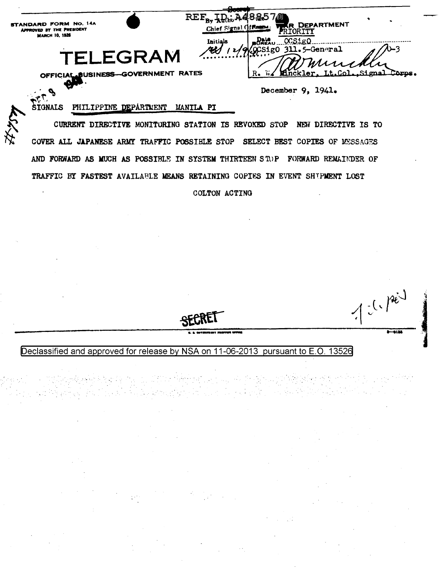| STANDARD FORM No. 14A<br>APPROVED BY THE PRESIDENT |           | Chief Signal Officenon: \ | 8570                  | <b>WER DEPARTMENT</b> |  |
|----------------------------------------------------|-----------|---------------------------|-----------------------|-----------------------|--|
| <b>MARCH 10, 1926</b>                              |           | Initials                  | VOCSigO 311.5-General |                       |  |
|                                                    | TEI FGRAM |                           |                       | 11 Munchly            |  |
| <b>RATES</b><br>OFFICIAL BUSINESS-GOVERNMENT       |           |                           | $R_{\bullet}$         |                       |  |

December 9, 1941.

 $1-(1)^{2^{i-1}}$ 

## SIGNALS PHILIPPINE DEPARTMENT MANILA PI

CURRENT DIRECTIVE MONITORING STATION IS REVOKED STOP NEW DIRECTIVE IS TO COVER ALL JAPANESE ARMY TRAFFIC POSSIBLE STOP SELECT BEST COPIES OF MESSAGES AND FORWARD AS MUCH AS POSSIBLE IN SYSTEM THIRTEEN STOP FORWARD REMAINDER OF TRAFFIC BY FASTEST AVAILABLE MEANS RETAINING COPIES IN EVENT SHIPMENT LOST

COLTON ACTING

100 - 100 Anii 100 Anii 100<br>Ani: 100 Anii 110 Anii 120 Anii 120 Anii 120 Anii 120 Anii 120 Anii 120 Anii 120 Anii 120 Anii 120 Anii 120 A

Declassified and approved for release by NSA on 11-06-2013 pursuant to E.O. 13526